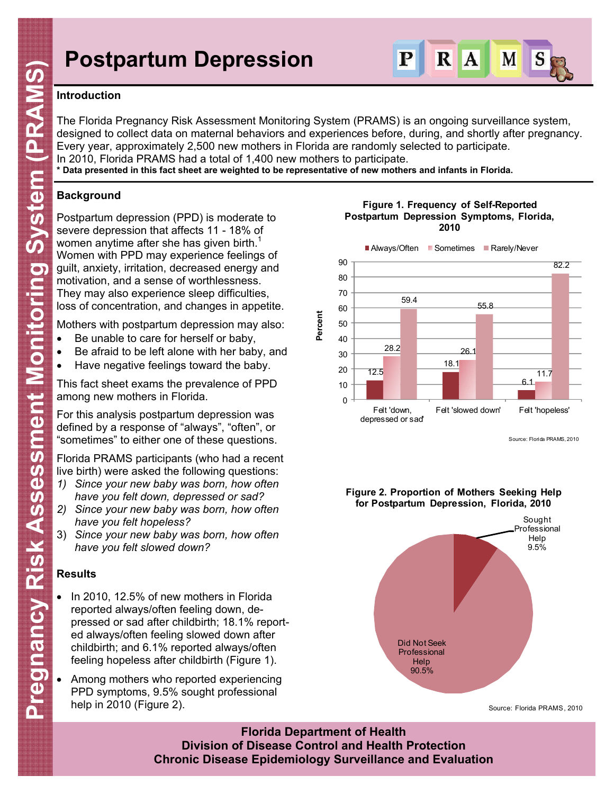# **Postpartum Depression**



#### **Introduction**

The Florida Pregnancy Risk Assessment Monitoring System (PRAMS) is an ongoing surveillance system, designed to collect data on maternal behaviors and experiences before, during, and shortly after pregnancy. Every year, approximately 2,500 new mothers in Florida are randomly selected to participate. In 2010, Florida PRAMS had a total of 1,400 new mothers to participate. **\* Data presented in this fact sheet are weighted to be representative of new mothers and infants in Florida.** 

## **Background**

Postpartum depression (PPD) is moderate to severe depression that affects 11 - 18% of women anytime after she has given birth.<sup>1</sup> Women with PPD may experience feelings of guilt, anxiety, irritation, decreased energy and motivation, and a sense of worthlessness. They may also experience sleep difficulties, loss of concentration, and changes in appetite.

Mothers with postpartum depression may also:

- Be unable to care for herself or baby,
- Be afraid to be left alone with her baby, and
- Have negative feelings toward the baby.

This fact sheet exams the prevalence of PPD among new mothers in Florida.

For this analysis postpartum depression was defined by a response of "always", "often", or "sometimes" to either one of these questions.

Florida PRAMS participants (who had a recent live birth) were asked the following questions:

- *1) Since your new baby was born, how often have you felt down, depressed or sad?*
- *2) Since your new baby was born, how often have you felt hopeless?*
- 3) *Since your new baby was born, how often have you felt slowed down?*

### **Results**

- In 2010, 12.5% of new mothers in Florida reported always/often feeling down, depressed or sad after childbirth; 18.1% reported always/often feeling slowed down after childbirth; and 6.1% reported always/often feeling hopeless after childbirth (Figure 1).
- Among mothers who reported experiencing PPD symptoms, 9.5% sought professional help in 2010 (Figure 2).



**Figure 1. Frequency of Self-Reported Postpartum Depression Symptoms, Florida, 2010**

Source: Florida PRAMS, 2010



**Figure 2. Proportion of Mothers Seeking Help for Postpartum Depression, Florida, 2010**

Source: Florida PRAMS, 2010

**Florida Department of Health Division of Disease Control and Health Protection Chronic Disease Epidemiology Surveillance and Evaluation**